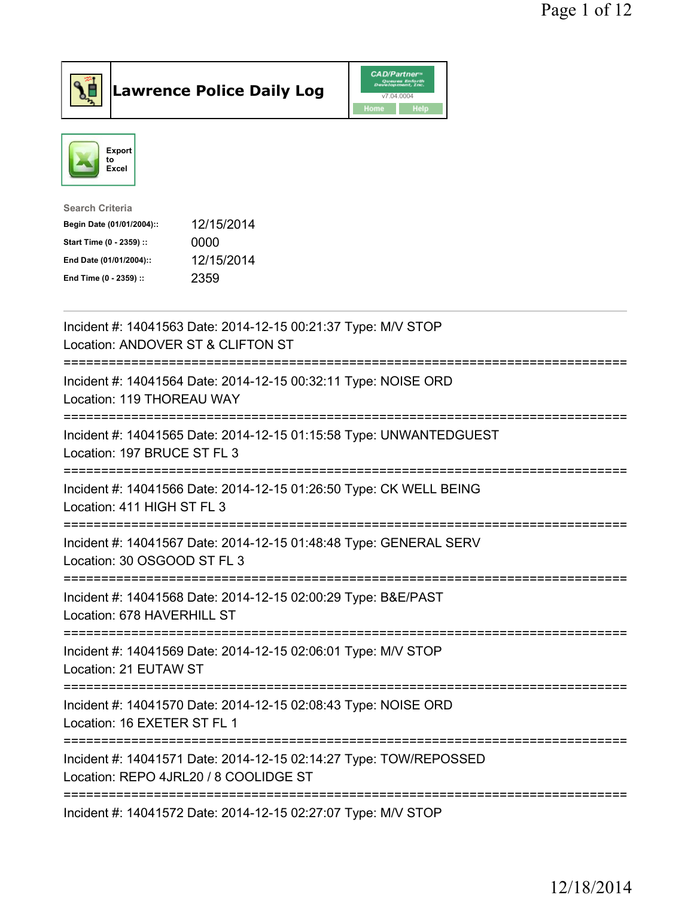



| Search Criteria           |            |
|---------------------------|------------|
| Begin Date (01/01/2004):: | 12/15/2014 |
| Start Time (0 - 2359) ::  | 0000       |
| End Date (01/01/2004)::   | 12/15/2014 |
| End Time (0 - 2359) ::    | 2359       |
|                           |            |

| Incident #: 14041563 Date: 2014-12-15 00:21:37 Type: M/V STOP<br>Location: ANDOVER ST & CLIFTON ST<br>;============================<br>-----------<br>:======================== |
|---------------------------------------------------------------------------------------------------------------------------------------------------------------------------------|
| Incident #: 14041564 Date: 2014-12-15 00:32:11 Type: NOISE ORD<br>Location: 119 THOREAU WAY                                                                                     |
| Incident #: 14041565 Date: 2014-12-15 01:15:58 Type: UNWANTEDGUEST<br>Location: 197 BRUCE ST FL 3                                                                               |
| Incident #: 14041566 Date: 2014-12-15 01:26:50 Type: CK WELL BEING<br>Location: 411 HIGH ST FL 3                                                                                |
| Incident #: 14041567 Date: 2014-12-15 01:48:48 Type: GENERAL SERV<br>Location: 30 OSGOOD ST FL 3<br>======================<br>;=================                                |
| Incident #: 14041568 Date: 2014-12-15 02:00:29 Type: B&E/PAST<br>Location: 678 HAVERHILL ST                                                                                     |
| Incident #: 14041569 Date: 2014-12-15 02:06:01 Type: M/V STOP<br>Location: 21 EUTAW ST                                                                                          |
| Incident #: 14041570 Date: 2014-12-15 02:08:43 Type: NOISE ORD<br>Location: 16 EXETER ST FL 1                                                                                   |
| Incident #: 14041571 Date: 2014-12-15 02:14:27 Type: TOW/REPOSSED<br>Location: REPO 4JRL20 / 8 COOLIDGE ST                                                                      |
| Incident #: 14041572 Date: 2014-12-15 02:27:07 Type: M/V STOP                                                                                                                   |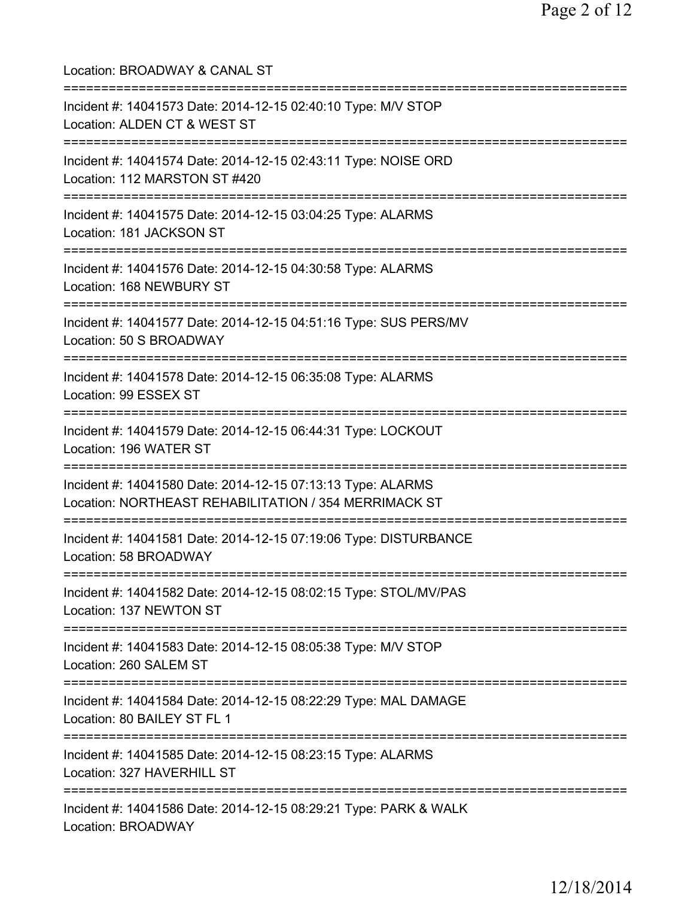Location: BROADWAY & CANAL ST =========================================================================== Incident #: 14041573 Date: 2014-12-15 02:40:10 Type: M/V STOP Location: ALDEN CT & WEST ST =========================================================================== Incident #: 14041574 Date: 2014-12-15 02:43:11 Type: NOISE ORD Location: 112 MARSTON ST #420 =========================================================================== Incident #: 14041575 Date: 2014-12-15 03:04:25 Type: ALARMS Location: 181 JACKSON ST =========================================================================== Incident #: 14041576 Date: 2014-12-15 04:30:58 Type: ALARMS Location: 168 NEWBURY ST =========================================================================== Incident #: 14041577 Date: 2014-12-15 04:51:16 Type: SUS PERS/MV Location: 50 S BROADWAY =========================================================================== Incident #: 14041578 Date: 2014-12-15 06:35:08 Type: ALARMS Location: 99 ESSEX ST =========================================================================== Incident #: 14041579 Date: 2014-12-15 06:44:31 Type: LOCKOUT Location: 196 WATER ST =========================================================================== Incident #: 14041580 Date: 2014-12-15 07:13:13 Type: ALARMS Location: NORTHEAST REHABILITATION / 354 MERRIMACK ST =========================================================================== Incident #: 14041581 Date: 2014-12-15 07:19:06 Type: DISTURBANCE Location: 58 BROADWAY =========================================================================== Incident #: 14041582 Date: 2014-12-15 08:02:15 Type: STOL/MV/PAS Location: 137 NEWTON ST =========================================================================== Incident #: 14041583 Date: 2014-12-15 08:05:38 Type: M/V STOP Location: 260 SALEM ST =========================================================================== Incident #: 14041584 Date: 2014-12-15 08:22:29 Type: MAL DAMAGE Location: 80 BAILEY ST FL 1 =========================================================================== Incident #: 14041585 Date: 2014-12-15 08:23:15 Type: ALARMS Location: 327 HAVERHILL ST =========================================================================== Incident #: 14041586 Date: 2014-12-15 08:29:21 Type: PARK & WALK Location: BROADWAY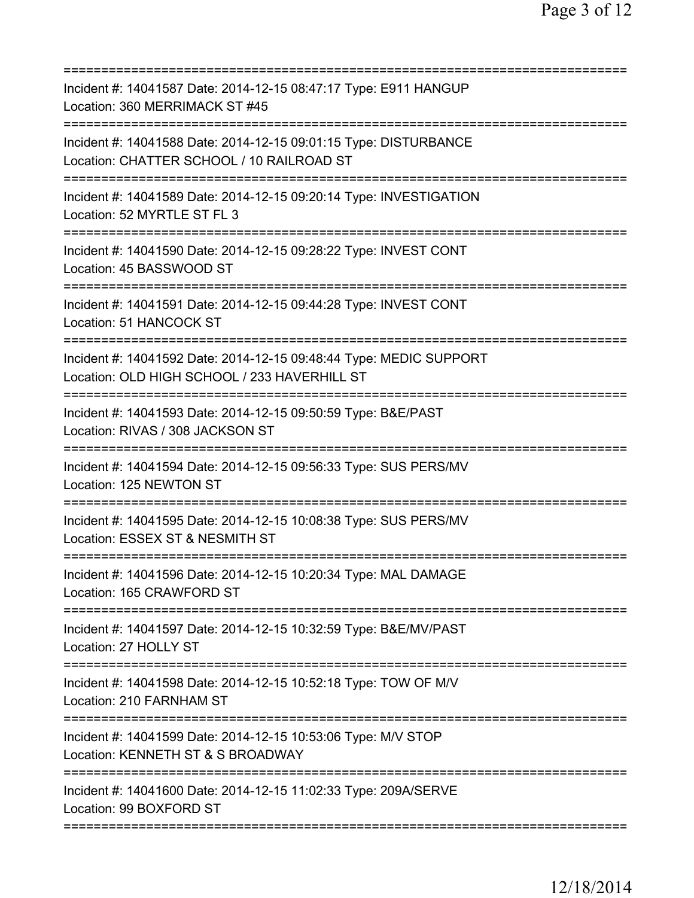| Incident #: 14041587 Date: 2014-12-15 08:47:17 Type: E911 HANGUP<br>Location: 360 MERRIMACK ST #45                            |
|-------------------------------------------------------------------------------------------------------------------------------|
| Incident #: 14041588 Date: 2014-12-15 09:01:15 Type: DISTURBANCE<br>Location: CHATTER SCHOOL / 10 RAILROAD ST                 |
| Incident #: 14041589 Date: 2014-12-15 09:20:14 Type: INVESTIGATION<br>Location: 52 MYRTLE ST FL 3                             |
| Incident #: 14041590 Date: 2014-12-15 09:28:22 Type: INVEST CONT<br>Location: 45 BASSWOOD ST                                  |
| Incident #: 14041591 Date: 2014-12-15 09:44:28 Type: INVEST CONT<br>Location: 51 HANCOCK ST                                   |
| Incident #: 14041592 Date: 2014-12-15 09:48:44 Type: MEDIC SUPPORT<br>Location: OLD HIGH SCHOOL / 233 HAVERHILL ST            |
| Incident #: 14041593 Date: 2014-12-15 09:50:59 Type: B&E/PAST<br>Location: RIVAS / 308 JACKSON ST                             |
| Incident #: 14041594 Date: 2014-12-15 09:56:33 Type: SUS PERS/MV<br>Location: 125 NEWTON ST                                   |
| Incident #: 14041595 Date: 2014-12-15 10:08:38 Type: SUS PERS/MV<br>Location: ESSEX ST & NESMITH ST                           |
| Incident #: 14041596 Date: 2014-12-15 10:20:34 Type: MAL DAMAGE<br>Location: 165 CRAWFORD ST                                  |
| Incident #: 14041597 Date: 2014-12-15 10:32:59 Type: B&E/MV/PAST<br>Location: 27 HOLLY ST                                     |
| Incident #: 14041598 Date: 2014-12-15 10:52:18 Type: TOW OF M/V<br>Location: 210 FARNHAM ST                                   |
| Incident #: 14041599 Date: 2014-12-15 10:53:06 Type: M/V STOP<br>Location: KENNETH ST & S BROADWAY                            |
| ===============================<br>Incident #: 14041600 Date: 2014-12-15 11:02:33 Type: 209A/SERVE<br>Location: 99 BOXFORD ST |
|                                                                                                                               |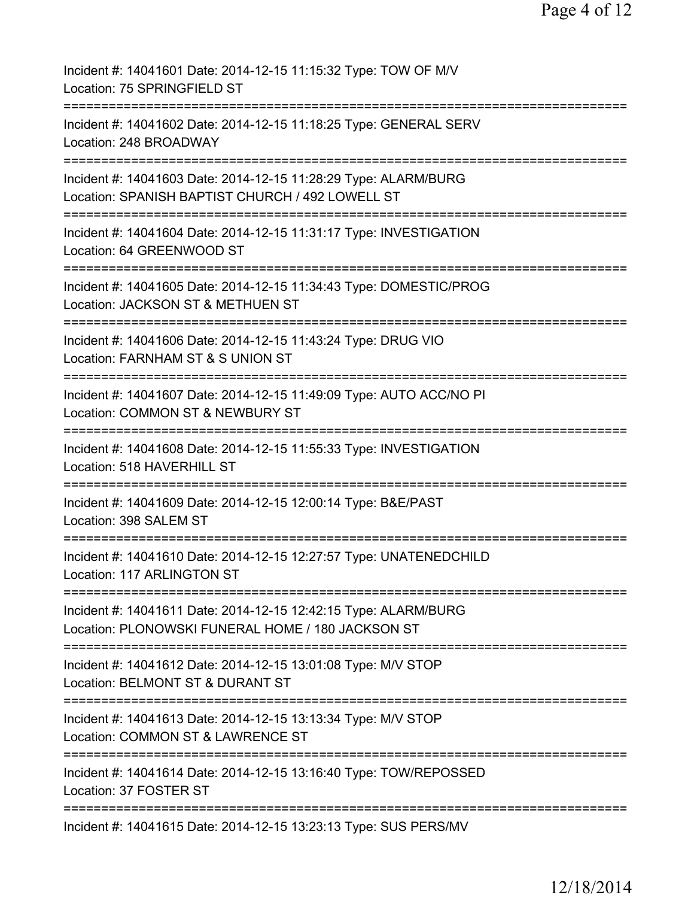| Incident #: 14041601 Date: 2014-12-15 11:15:32 Type: TOW OF M/V<br>Location: 75 SPRINGFIELD ST                                                  |
|-------------------------------------------------------------------------------------------------------------------------------------------------|
| Incident #: 14041602 Date: 2014-12-15 11:18:25 Type: GENERAL SERV<br>Location: 248 BROADWAY                                                     |
| Incident #: 14041603 Date: 2014-12-15 11:28:29 Type: ALARM/BURG<br>Location: SPANISH BAPTIST CHURCH / 492 LOWELL ST                             |
| Incident #: 14041604 Date: 2014-12-15 11:31:17 Type: INVESTIGATION<br>Location: 64 GREENWOOD ST                                                 |
| ====================================<br>Incident #: 14041605 Date: 2014-12-15 11:34:43 Type: DOMESTIC/PROG<br>Location: JACKSON ST & METHUEN ST |
| Incident #: 14041606 Date: 2014-12-15 11:43:24 Type: DRUG VIO<br>Location: FARNHAM ST & S UNION ST                                              |
| Incident #: 14041607 Date: 2014-12-15 11:49:09 Type: AUTO ACC/NO PI<br>Location: COMMON ST & NEWBURY ST                                         |
| Incident #: 14041608 Date: 2014-12-15 11:55:33 Type: INVESTIGATION<br>Location: 518 HAVERHILL ST                                                |
| Incident #: 14041609 Date: 2014-12-15 12:00:14 Type: B&E/PAST<br>Location: 398 SALEM ST                                                         |
| Incident #: 14041610 Date: 2014-12-15 12:27:57 Type: UNATENEDCHILD<br>Location: 117 ARLINGTON ST                                                |
| Incident #: 14041611 Date: 2014-12-15 12:42:15 Type: ALARM/BURG<br>Location: PLONOWSKI FUNERAL HOME / 180 JACKSON ST                            |
| Incident #: 14041612 Date: 2014-12-15 13:01:08 Type: M/V STOP<br>Location: BELMONT ST & DURANT ST                                               |
| Incident #: 14041613 Date: 2014-12-15 13:13:34 Type: M/V STOP<br>Location: COMMON ST & LAWRENCE ST                                              |
| ================================<br>Incident #: 14041614 Date: 2014-12-15 13:16:40 Type: TOW/REPOSSED<br>Location: 37 FOSTER ST                 |
| ===========================<br>Incident #: 14041615 Date: 2014-12-15 13:23:13 Type: SUS PERS/MV                                                 |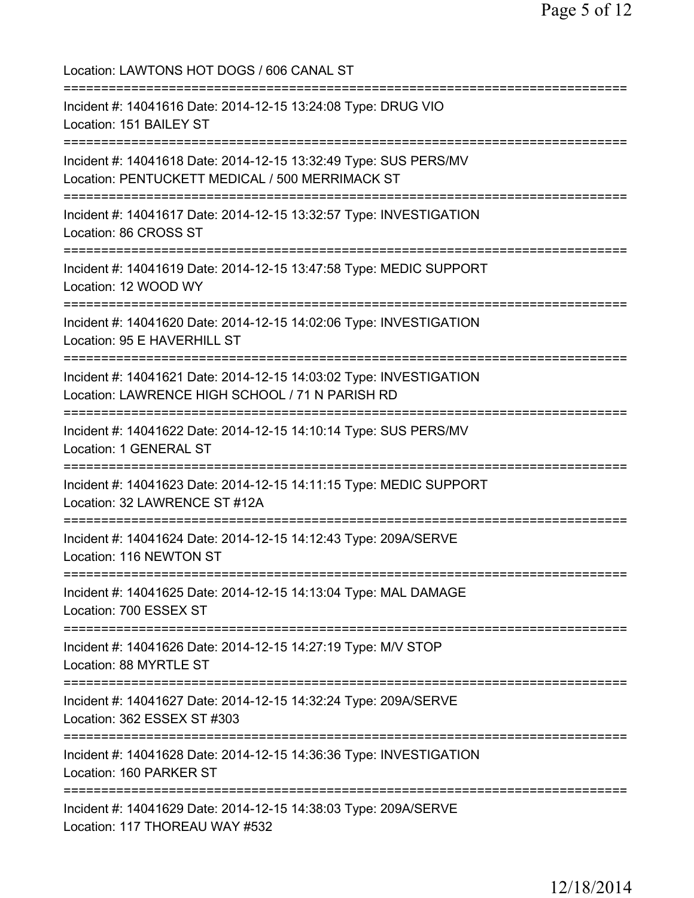| Location: LAWTONS HOT DOGS / 606 CANAL ST                                                                                                                                   |
|-----------------------------------------------------------------------------------------------------------------------------------------------------------------------------|
| Incident #: 14041616 Date: 2014-12-15 13:24:08 Type: DRUG VIO<br>Location: 151 BAILEY ST                                                                                    |
| Incident #: 14041618 Date: 2014-12-15 13:32:49 Type: SUS PERS/MV<br>Location: PENTUCKETT MEDICAL / 500 MERRIMACK ST                                                         |
| Incident #: 14041617 Date: 2014-12-15 13:32:57 Type: INVESTIGATION<br>Location: 86 CROSS ST                                                                                 |
| Incident #: 14041619 Date: 2014-12-15 13:47:58 Type: MEDIC SUPPORT<br>Location: 12 WOOD WY                                                                                  |
| ==============================<br>Incident #: 14041620 Date: 2014-12-15 14:02:06 Type: INVESTIGATION<br>Location: 95 E HAVERHILL ST<br>:=================================== |
| Incident #: 14041621 Date: 2014-12-15 14:03:02 Type: INVESTIGATION<br>Location: LAWRENCE HIGH SCHOOL / 71 N PARISH RD                                                       |
| Incident #: 14041622 Date: 2014-12-15 14:10:14 Type: SUS PERS/MV<br>Location: 1 GENERAL ST                                                                                  |
| Incident #: 14041623 Date: 2014-12-15 14:11:15 Type: MEDIC SUPPORT<br>Location: 32 LAWRENCE ST #12A                                                                         |
| Incident #: 14041624 Date: 2014-12-15 14:12:43 Type: 209A/SERVE<br>Location: 116 NEWTON ST                                                                                  |
| Incident #: 14041625 Date: 2014-12-15 14:13:04 Type: MAL DAMAGE<br>Location: 700 ESSEX ST                                                                                   |
| Incident #: 14041626 Date: 2014-12-15 14:27:19 Type: M/V STOP<br>Location: 88 MYRTLE ST                                                                                     |
| Incident #: 14041627 Date: 2014-12-15 14:32:24 Type: 209A/SERVE<br>Location: 362 ESSEX ST #303                                                                              |
| Incident #: 14041628 Date: 2014-12-15 14:36:36 Type: INVESTIGATION<br>Location: 160 PARKER ST                                                                               |
| Incident #: 14041629 Date: 2014-12-15 14:38:03 Type: 209A/SERVE<br>Location: 117 THOREAU WAY #532                                                                           |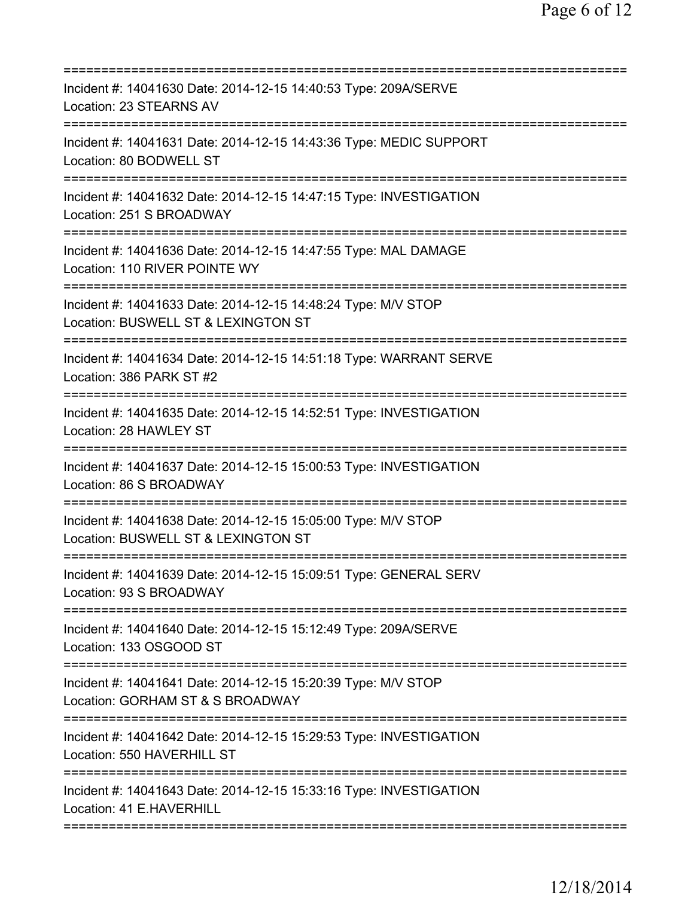| Incident #: 14041630 Date: 2014-12-15 14:40:53 Type: 209A/SERVE<br>Location: 23 STEARNS AV                                            |
|---------------------------------------------------------------------------------------------------------------------------------------|
| Incident #: 14041631 Date: 2014-12-15 14:43:36 Type: MEDIC SUPPORT<br>Location: 80 BODWELL ST                                         |
| Incident #: 14041632 Date: 2014-12-15 14:47:15 Type: INVESTIGATION<br>Location: 251 S BROADWAY                                        |
| Incident #: 14041636 Date: 2014-12-15 14:47:55 Type: MAL DAMAGE<br>Location: 110 RIVER POINTE WY<br>=======================           |
| Incident #: 14041633 Date: 2014-12-15 14:48:24 Type: M/V STOP<br>Location: BUSWELL ST & LEXINGTON ST<br>============================= |
| Incident #: 14041634 Date: 2014-12-15 14:51:18 Type: WARRANT SERVE<br>Location: 386 PARK ST #2                                        |
| Incident #: 14041635 Date: 2014-12-15 14:52:51 Type: INVESTIGATION<br>Location: 28 HAWLEY ST                                          |
| Incident #: 14041637 Date: 2014-12-15 15:00:53 Type: INVESTIGATION<br>Location: 86 S BROADWAY                                         |
| Incident #: 14041638 Date: 2014-12-15 15:05:00 Type: M/V STOP<br>Location: BUSWELL ST & LEXINGTON ST                                  |
| Incident #: 14041639 Date: 2014-12-15 15:09:51 Type: GENERAL SERV<br>Location: 93 S BROADWAY                                          |
| Incident #: 14041640 Date: 2014-12-15 15:12:49 Type: 209A/SERVE<br>Location: 133 OSGOOD ST                                            |
| Incident #: 14041641 Date: 2014-12-15 15:20:39 Type: M/V STOP<br>Location: GORHAM ST & S BROADWAY                                     |
| Incident #: 14041642 Date: 2014-12-15 15:29:53 Type: INVESTIGATION<br>Location: 550 HAVERHILL ST                                      |
| Incident #: 14041643 Date: 2014-12-15 15:33:16 Type: INVESTIGATION<br>Location: 41 E.HAVERHILL                                        |
|                                                                                                                                       |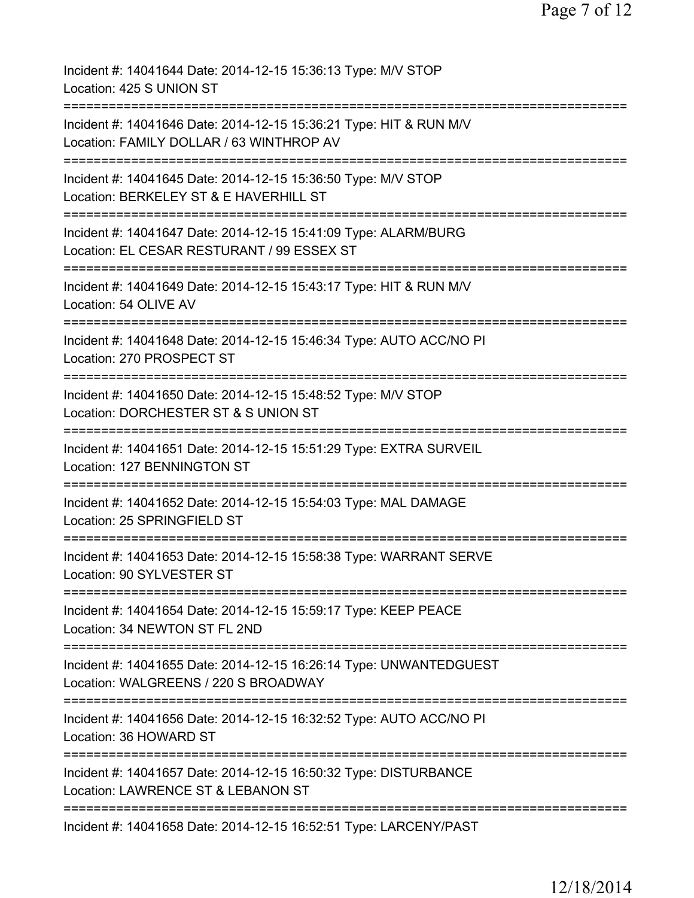| Incident #: 14041644 Date: 2014-12-15 15:36:13 Type: M/V STOP<br>Location: 425 S UNION ST                                             |
|---------------------------------------------------------------------------------------------------------------------------------------|
| Incident #: 14041646 Date: 2014-12-15 15:36:21 Type: HIT & RUN M/V<br>Location: FAMILY DOLLAR / 63 WINTHROP AV                        |
| Incident #: 14041645 Date: 2014-12-15 15:36:50 Type: M/V STOP<br>Location: BERKELEY ST & E HAVERHILL ST<br>========================== |
| Incident #: 14041647 Date: 2014-12-15 15:41:09 Type: ALARM/BURG<br>Location: EL CESAR RESTURANT / 99 ESSEX ST                         |
| :==========================<br>Incident #: 14041649 Date: 2014-12-15 15:43:17 Type: HIT & RUN M/V<br>Location: 54 OLIVE AV            |
| Incident #: 14041648 Date: 2014-12-15 15:46:34 Type: AUTO ACC/NO PI<br>Location: 270 PROSPECT ST                                      |
| Incident #: 14041650 Date: 2014-12-15 15:48:52 Type: M/V STOP<br>Location: DORCHESTER ST & S UNION ST                                 |
| Incident #: 14041651 Date: 2014-12-15 15:51:29 Type: EXTRA SURVEIL<br>Location: 127 BENNINGTON ST                                     |
| Incident #: 14041652 Date: 2014-12-15 15:54:03 Type: MAL DAMAGE<br>Location: 25 SPRINGFIELD ST                                        |
| Incident #: 14041653 Date: 2014-12-15 15:58:38 Type: WARRANT SERVE<br>Location: 90 SYLVESTER ST                                       |
| Incident #: 14041654 Date: 2014-12-15 15:59:17 Type: KEEP PEACE<br>Location: 34 NEWTON ST FL 2ND                                      |
| Incident #: 14041655 Date: 2014-12-15 16:26:14 Type: UNWANTEDGUEST<br>Location: WALGREENS / 220 S BROADWAY                            |
| ====================================<br>Incident #: 14041656 Date: 2014-12-15 16:32:52 Type: AUTO ACC/NO PI<br>Location: 36 HOWARD ST |
| Incident #: 14041657 Date: 2014-12-15 16:50:32 Type: DISTURBANCE<br>Location: LAWRENCE ST & LEBANON ST                                |
| Incident #: 14041658 Date: 2014-12-15 16:52:51 Type: LARCENY/PAST                                                                     |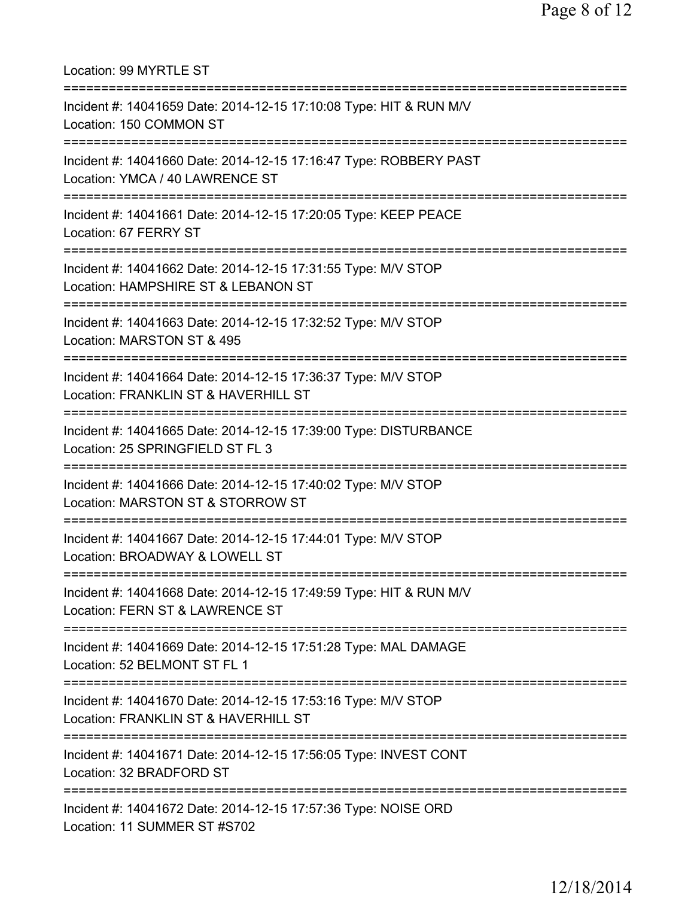| Location: 99 MYRTLE ST                                                                                                              |
|-------------------------------------------------------------------------------------------------------------------------------------|
| Incident #: 14041659 Date: 2014-12-15 17:10:08 Type: HIT & RUN M/V<br>Location: 150 COMMON ST<br>;======================            |
| Incident #: 14041660 Date: 2014-12-15 17:16:47 Type: ROBBERY PAST<br>Location: YMCA / 40 LAWRENCE ST<br>==========================  |
| Incident #: 14041661 Date: 2014-12-15 17:20:05 Type: KEEP PEACE<br>Location: 67 FERRY ST                                            |
| Incident #: 14041662 Date: 2014-12-15 17:31:55 Type: M/V STOP<br>Location: HAMPSHIRE ST & LEBANON ST                                |
| ================================<br>Incident #: 14041663 Date: 2014-12-15 17:32:52 Type: M/V STOP<br>Location: MARSTON ST & 495     |
| Incident #: 14041664 Date: 2014-12-15 17:36:37 Type: M/V STOP<br>Location: FRANKLIN ST & HAVERHILL ST                               |
| Incident #: 14041665 Date: 2014-12-15 17:39:00 Type: DISTURBANCE<br>Location: 25 SPRINGFIELD ST FL 3                                |
| Incident #: 14041666 Date: 2014-12-15 17:40:02 Type: M/V STOP<br>Location: MARSTON ST & STORROW ST                                  |
| ================================<br>Incident #: 14041667 Date: 2014-12-15 17:44:01 Type: M/V STOP<br>Location: BROADWAY & LOWELL ST |
| Incident #: 14041668 Date: 2014-12-15 17:49:59 Type: HIT & RUN M/V<br>Location: FERN ST & LAWRENCE ST                               |
| Incident #: 14041669 Date: 2014-12-15 17:51:28 Type: MAL DAMAGE<br>Location: 52 BELMONT ST FL 1                                     |
| Incident #: 14041670 Date: 2014-12-15 17:53:16 Type: M/V STOP<br>Location: FRANKLIN ST & HAVERHILL ST                               |
| ===================================<br>Incident #: 14041671 Date: 2014-12-15 17:56:05 Type: INVEST CONT<br>Location: 32 BRADFORD ST |
| Incident #: 14041672 Date: 2014-12-15 17:57:36 Type: NOISE ORD<br>Location: 11 SUMMER ST #S702                                      |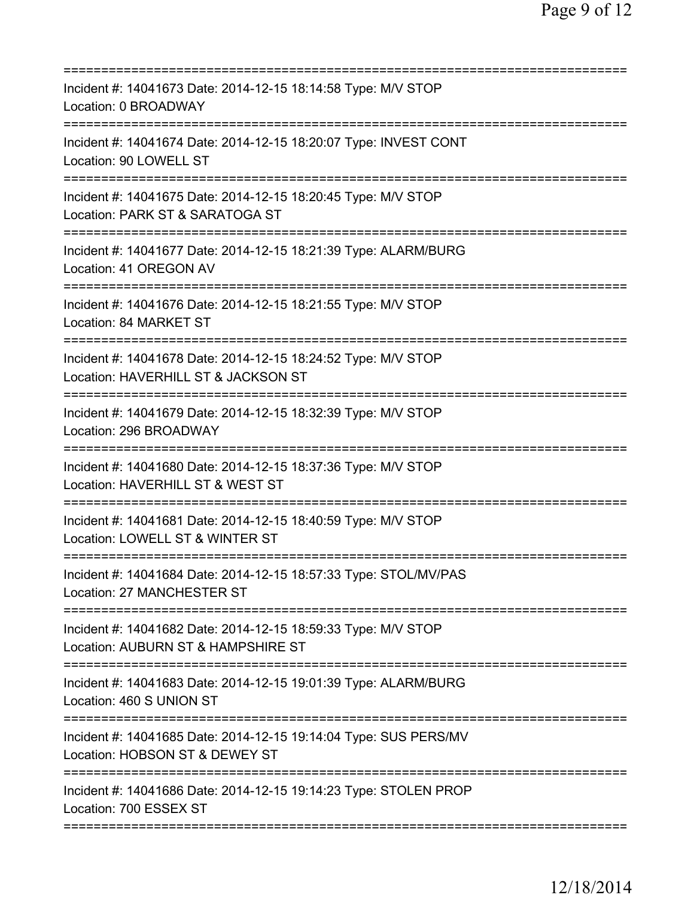| Incident #: 14041673 Date: 2014-12-15 18:14:58 Type: M/V STOP<br>Location: 0 BROADWAY                                          |
|--------------------------------------------------------------------------------------------------------------------------------|
| Incident #: 14041674 Date: 2014-12-15 18:20:07 Type: INVEST CONT<br>Location: 90 LOWELL ST                                     |
| Incident #: 14041675 Date: 2014-12-15 18:20:45 Type: M/V STOP<br>Location: PARK ST & SARATOGA ST<br>========================== |
| Incident #: 14041677 Date: 2014-12-15 18:21:39 Type: ALARM/BURG<br>Location: 41 OREGON AV<br>=============================     |
| Incident #: 14041676 Date: 2014-12-15 18:21:55 Type: M/V STOP<br>Location: 84 MARKET ST                                        |
| =============<br>Incident #: 14041678 Date: 2014-12-15 18:24:52 Type: M/V STOP<br>Location: HAVERHILL ST & JACKSON ST          |
| Incident #: 14041679 Date: 2014-12-15 18:32:39 Type: M/V STOP<br>Location: 296 BROADWAY<br>===========                         |
| Incident #: 14041680 Date: 2014-12-15 18:37:36 Type: M/V STOP<br>Location: HAVERHILL ST & WEST ST                              |
| Incident #: 14041681 Date: 2014-12-15 18:40:59 Type: M/V STOP<br>Location: LOWELL ST & WINTER ST<br>===========                |
| Incident #: 14041684 Date: 2014-12-15 18:57:33 Type: STOL/MV/PAS<br>Location: 27 MANCHESTER ST                                 |
| Incident #: 14041682 Date: 2014-12-15 18:59:33 Type: M/V STOP<br>Location: AUBURN ST & HAMPSHIRE ST                            |
| Incident #: 14041683 Date: 2014-12-15 19:01:39 Type: ALARM/BURG<br>Location: 460 S UNION ST                                    |
| Incident #: 14041685 Date: 2014-12-15 19:14:04 Type: SUS PERS/MV<br>Location: HOBSON ST & DEWEY ST                             |
| Incident #: 14041686 Date: 2014-12-15 19:14:23 Type: STOLEN PROP<br>Location: 700 ESSEX ST                                     |
|                                                                                                                                |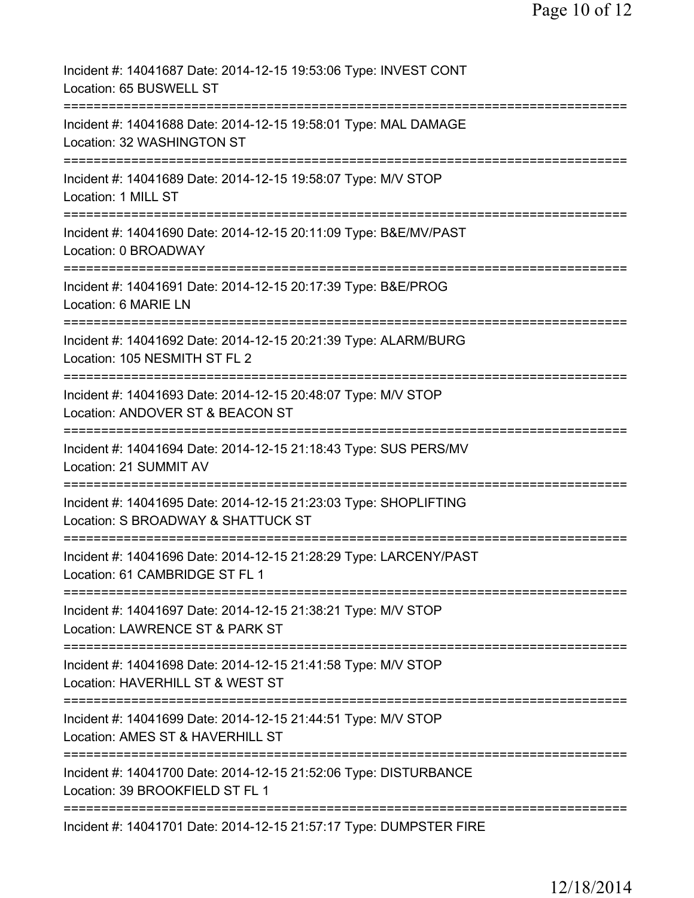| Incident #: 14041687 Date: 2014-12-15 19:53:06 Type: INVEST CONT<br>Location: 65 BUSWELL ST                                     |
|---------------------------------------------------------------------------------------------------------------------------------|
| Incident #: 14041688 Date: 2014-12-15 19:58:01 Type: MAL DAMAGE<br>Location: 32 WASHINGTON ST                                   |
| Incident #: 14041689 Date: 2014-12-15 19:58:07 Type: M/V STOP<br>Location: 1 MILL ST                                            |
| Incident #: 14041690 Date: 2014-12-15 20:11:09 Type: B&E/MV/PAST<br>Location: 0 BROADWAY<br>-------------                       |
| Incident #: 14041691 Date: 2014-12-15 20:17:39 Type: B&E/PROG<br>Location: 6 MARIE LN                                           |
| =====================<br>Incident #: 14041692 Date: 2014-12-15 20:21:39 Type: ALARM/BURG<br>Location: 105 NESMITH ST FL 2       |
| --------<br>Incident #: 14041693 Date: 2014-12-15 20:48:07 Type: M/V STOP<br>Location: ANDOVER ST & BEACON ST                   |
| Incident #: 14041694 Date: 2014-12-15 21:18:43 Type: SUS PERS/MV<br>Location: 21 SUMMIT AV                                      |
| :==============<br>Incident #: 14041695 Date: 2014-12-15 21:23:03 Type: SHOPLIFTING<br>Location: S BROADWAY & SHATTUCK ST       |
| Incident #: 14041696 Date: 2014-12-15 21:28:29 Type: LARCENY/PAST<br>Location: 61 CAMBRIDGE ST FL 1                             |
| .--------------------------<br>Incident #: 14041697 Date: 2014-12-15 21:38:21 Type: M/V STOP<br>Location: LAWRENCE ST & PARK ST |
| Incident #: 14041698 Date: 2014-12-15 21:41:58 Type: M/V STOP<br>Location: HAVERHILL ST & WEST ST                               |
| Incident #: 14041699 Date: 2014-12-15 21:44:51 Type: M/V STOP<br>Location: AMES ST & HAVERHILL ST                               |
| Incident #: 14041700 Date: 2014-12-15 21:52:06 Type: DISTURBANCE<br>Location: 39 BROOKFIELD ST FL 1                             |
| Incident #: 14041701 Date: 2014-12-15 21:57:17 Type: DUMPSTER FIRE                                                              |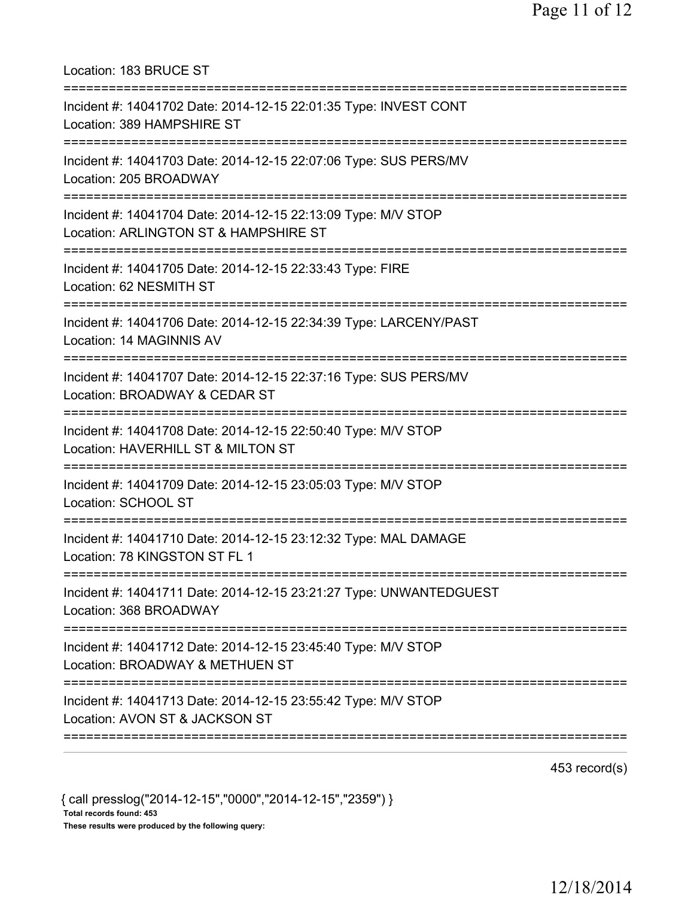Location: 183 BRUCE ST =========================================================================== Incident #: 14041702 Date: 2014-12-15 22:01:35 Type: INVEST CONT Location: 389 HAMPSHIRE ST =========================================================================== Incident #: 14041703 Date: 2014-12-15 22:07:06 Type: SUS PERS/MV Location: 205 BROADWAY =========================================================================== Incident #: 14041704 Date: 2014-12-15 22:13:09 Type: M/V STOP Location: ARLINGTON ST & HAMPSHIRE ST =========================================================================== Incident #: 14041705 Date: 2014-12-15 22:33:43 Type: FIRE Location: 62 NESMITH ST =========================================================================== Incident #: 14041706 Date: 2014-12-15 22:34:39 Type: LARCENY/PAST Location: 14 MAGINNIS AV =========================================================================== Incident #: 14041707 Date: 2014-12-15 22:37:16 Type: SUS PERS/MV Location: BROADWAY & CEDAR ST =========================================================================== Incident #: 14041708 Date: 2014-12-15 22:50:40 Type: M/V STOP Location: HAVERHILL ST & MILTON ST =========================================================================== Incident #: 14041709 Date: 2014-12-15 23:05:03 Type: M/V STOP Location: SCHOOL ST =========================================================================== Incident #: 14041710 Date: 2014-12-15 23:12:32 Type: MAL DAMAGE Location: 78 KINGSTON ST FL 1 =========================================================================== Incident #: 14041711 Date: 2014-12-15 23:21:27 Type: UNWANTEDGUEST Location: 368 BROADWAY =========================================================================== Incident #: 14041712 Date: 2014-12-15 23:45:40 Type: M/V STOP Location: BROADWAY & METHUEN ST =========================================================================== Incident #: 14041713 Date: 2014-12-15 23:55:42 Type: M/V STOP Location: AVON ST & JACKSON ST ===========================================================================

453 record(s)

{ call presslog("2014-12-15","0000","2014-12-15","2359") } Total records found: 453 These results were produced by the following query: